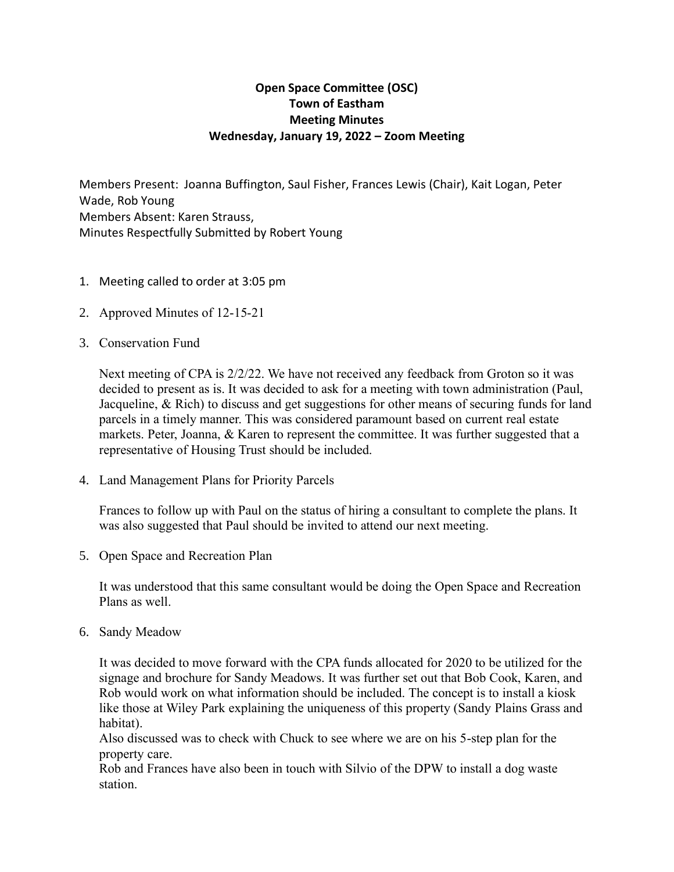# **Open Space Committee (OSC) Town of Eastham Meeting Minutes Wednesday, January 19, 2022 – Zoom Meeting**

Members Present: Joanna Buffington, Saul Fisher, Frances Lewis (Chair), Kait Logan, Peter Wade, Rob Young Members Absent: Karen Strauss, Minutes Respectfully Submitted by Robert Young

- 1. Meeting called to order at 3:05 pm
- 2. Approved Minutes of 12-15-21
- 3. Conservation Fund

Next meeting of CPA is 2/2/22. We have not received any feedback from Groton so it was decided to present as is. It was decided to ask for a meeting with town administration (Paul, Jacqueline, & Rich) to discuss and get suggestions for other means of securing funds for land parcels in a timely manner. This was considered paramount based on current real estate markets. Peter, Joanna, & Karen to represent the committee. It was further suggested that a representative of Housing Trust should be included.

4. Land Management Plans for Priority Parcels

Frances to follow up with Paul on the status of hiring a consultant to complete the plans. It was also suggested that Paul should be invited to attend our next meeting.

5. Open Space and Recreation Plan

It was understood that this same consultant would be doing the Open Space and Recreation Plans as well.

6. Sandy Meadow

It was decided to move forward with the CPA funds allocated for 2020 to be utilized for the signage and brochure for Sandy Meadows. It was further set out that Bob Cook, Karen, and Rob would work on what information should be included. The concept is to install a kiosk like those at Wiley Park explaining the uniqueness of this property (Sandy Plains Grass and habitat).

Also discussed was to check with Chuck to see where we are on his 5-step plan for the property care.

Rob and Frances have also been in touch with Silvio of the DPW to install a dog waste station.